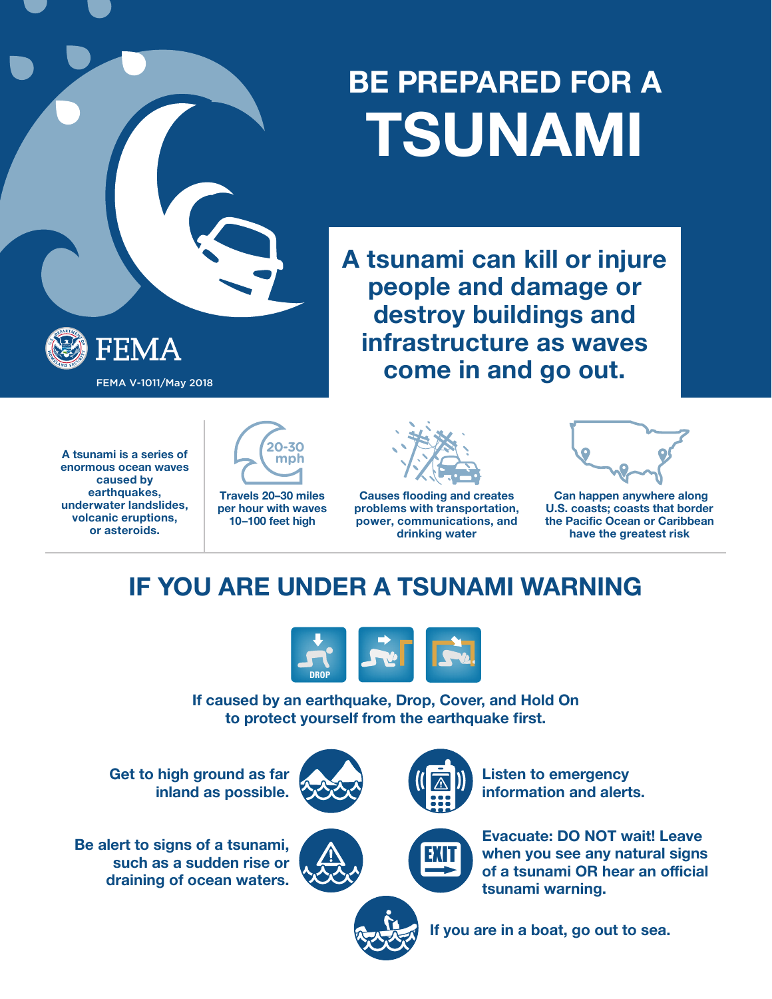## **BE PREPARED FOR A TSUNAMI**

**A tsunami can kill or injure people and damage or destroy buildings and infrastructure as waves come in and go out.** FEMA V-1011/May 2018

**A tsunami is a series of enormous ocean waves caused by earthquakes, underwater landslides, volcanic eruptions, or asteroids.**

FEMA



**per hour with waves 10–100 feet high**



**Causes flooding and creates problems with transportation, power, communications, and drinking water**



 **Can happen anywhere along U.S. coasts; coasts that border the Pacific Ocean or Caribbean have the greatest risk**

## **IF YOU ARE UNDER A TSUNAMI WARNING**



**If caused by an earthquake, Drop, Cover, and Hold On to protect yourself from the earthquake first.**

**Get to high ground as far inland as possible.**

**Be alert to signs of a tsunami, such as a sudden rise or draining of ocean waters.**





**Listen to emergency information and alerts.**

**Evacuate: DO NOT wait! Leave when you see any natural signs of a tsunami OR hear an official tsunami warning.**



**If you are in a boat, go out to sea.**